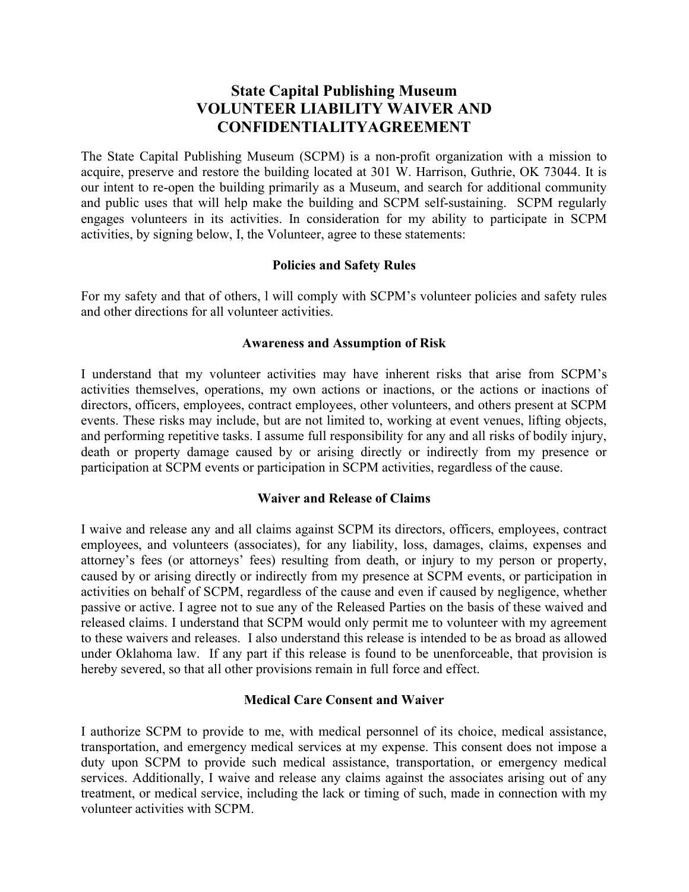# State Capital Publishing Museum VOLUNTEER LIABILITY WAIVER AND CONFIDENTIALITYAGREEMENT

The State Capital Publishing Museum (SCPM) is a non-profit organization with a mission to acquire, preserve and restore the building located at 301 W. Harrison, Guthrie, OK 73044. It is our intent to re-open the building primarily as a Museum, and search for additional community and public uses that will help make the building and SCPM self-sustaining. SCPM regularly engages volunteers in its activities. In consideration for my ability to participate in SCPM activities, by signing below, I, the Volunteer, agree to these statements:

## Policies and Safety Rules

For my safety and that of others, l will comply with SCPM's volunteer policies and safety rules and other directions for all volunteer activities.

## Awareness and Assumption of Risk

I understand that my volunteer activities may have inherent risks that arise from SCPM's activities themselves, operations, my own actions or inactions, or the actions or inactions of directors, officers, employees, contract employees, other volunteers, and others present at SCPM events. These risks may include, but are not limited to, working at event venues, lifting objects, and performing repetitive tasks. I assume full responsibility for any and all risks of bodily injury, death or property damage caused by or arising directly or indirectly from my presence or participation at SCPM events or participation in SCPM activities, regardless of the cause.

## Waiver and Release of Claims

I waive and release any and all claims against SCPM its directors, officers, employees, contract employees, and volunteers (associates), for any liability, loss, damages, claims, expenses and attorney's fees (or attorneys' fees) resulting from death, or injury to my person or property, caused by or arising directly or indirectly from my presence at SCPM events, or participation in activities on behalf of SCPM, regardless of the cause and even if caused by negligence, whether passive or active. I agree not to sue any of the Released Parties on the basis of these waived and released claims. I understand that SCPM would only permit me to volunteer with my agreement to these waivers and releases. I also understand this release is intended to be as broad as allowed under Oklahoma law. If any part if this release is found to be unenforceable, that provision is hereby severed, so that all other provisions remain in full force and effect.

## Medical Care Consent and Waiver

I authorize SCPM to provide to me, with medical personnel of its choice, medical assistance, transportation, and emergency medical services at my expense. This consent does not impose a duty upon SCPM to provide such medical assistance, transportation, or emergency medical services. Additionally, I waive and release any claims against the associates arising out of any treatment, or medical service, including the lack or timing of such, made in connection with my volunteer activities with SCPM.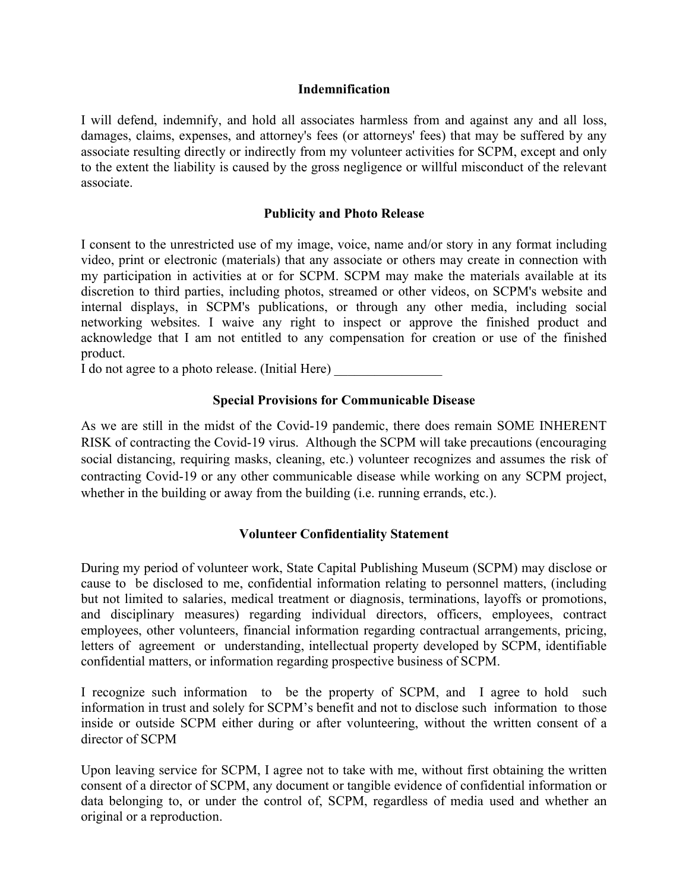#### Indemnification

I will defend, indemnify, and hold all associates harmless from and against any and all loss, damages, claims, expenses, and attorney's fees (or attorneys' fees) that may be suffered by any associate resulting directly or indirectly from my volunteer activities for SCPM, except and only to the extent the liability is caused by the gross negligence or willful misconduct of the relevant associate.

## Publicity and Photo Release

I consent to the unrestricted use of my image, voice, name and/or story in any format including video, print or electronic (materials) that any associate or others may create in connection with my participation in activities at or for SCPM. SCPM may make the materials available at its discretion to third parties, including photos, streamed or other videos, on SCPM's website and internal displays, in SCPM's publications, or through any other media, including social networking websites. I waive any right to inspect or approve the finished product and acknowledge that I am not entitled to any compensation for creation or use of the finished product.

I do not agree to a photo release. (Initial Here) \_\_\_\_\_\_\_\_\_\_\_\_\_\_\_\_

## Special Provisions for Communicable Disease

As we are still in the midst of the Covid-19 pandemic, there does remain SOME INHERENT RISK of contracting the Covid-19 virus. Although the SCPM will take precautions (encouraging social distancing, requiring masks, cleaning, etc.) volunteer recognizes and assumes the risk of contracting Covid-19 or any other communicable disease while working on any SCPM project, whether in the building or away from the building *(i.e. running errands, etc.)*.

## Volunteer Confidentiality Statement

During my period of volunteer work, State Capital Publishing Museum (SCPM) may disclose or cause to be disclosed to me, confidential information relating to personnel matters, (including but not limited to salaries, medical treatment or diagnosis, terminations, layoffs or promotions, and disciplinary measures) regarding individual directors, officers, employees, contract employees, other volunteers, financial information regarding contractual arrangements, pricing, letters of agreement or understanding, intellectual property developed by SCPM, identifiable confidential matters, or information regarding prospective business of SCPM.

I recognize such information to be the property of SCPM, and I agree to hold such information in trust and solely for SCPM's benefit and not to disclose such information to those inside or outside SCPM either during or after volunteering, without the written consent of a director of SCPM

Upon leaving service for SCPM, I agree not to take with me, without first obtaining the written consent of a director of SCPM, any document or tangible evidence of confidential information or data belonging to, or under the control of, SCPM, regardless of media used and whether an original or a reproduction.